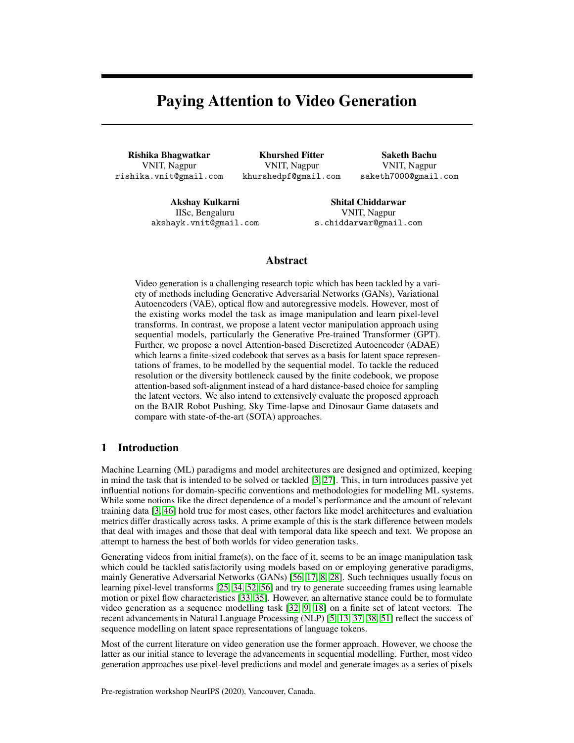# Paying Attention to Video Generation

Rishika Bhagwatkar VNIT, Nagpur rishika.vnit@gmail.com

Khurshed Fitter VNIT, Nagpur khurshedpf@gmail.com

Saketh Bachu VNIT, Nagpur saketh7000@gmail.com

Akshay Kulkarni IISc, Bengaluru akshayk.vnit@gmail.com

Shital Chiddarwar VNIT, Nagpur s.chiddarwar@gmail.com

# Abstract

Video generation is a challenging research topic which has been tackled by a variety of methods including Generative Adversarial Networks (GANs), Variational Autoencoders (VAE), optical flow and autoregressive models. However, most of the existing works model the task as image manipulation and learn pixel-level transforms. In contrast, we propose a latent vector manipulation approach using sequential models, particularly the Generative Pre-trained Transformer (GPT). Further, we propose a novel Attention-based Discretized Autoencoder (ADAE) which learns a finite-sized codebook that serves as a basis for latent space representations of frames, to be modelled by the sequential model. To tackle the reduced resolution or the diversity bottleneck caused by the finite codebook, we propose attention-based soft-alignment instead of a hard distance-based choice for sampling the latent vectors. We also intend to extensively evaluate the proposed approach on the BAIR Robot Pushing, Sky Time-lapse and Dinosaur Game datasets and compare with state-of-the-art (SOTA) approaches.

# 1 Introduction

Machine Learning (ML) paradigms and model architectures are designed and optimized, keeping in mind the task that is intended to be solved or tackled [\[3,](#page-5-0) [27\]](#page-6-0). This, in turn introduces passive yet influential notions for domain-specific conventions and methodologies for modelling ML systems. While some notions like the direct dependence of a model's performance and the amount of relevant training data [\[3,](#page-5-0) [46\]](#page-7-0) hold true for most cases, other factors like model architectures and evaluation metrics differ drastically across tasks. A prime example of this is the stark difference between models that deal with images and those that deal with temporal data like speech and text. We propose an attempt to harness the best of both worlds for video generation tasks.

Generating videos from initial frame(s), on the face of it, seems to be an image manipulation task which could be tackled satisfactorily using models based on or employing generative paradigms, mainly Generative Adversarial Networks (GANs) [\[56,](#page-7-1) [17,](#page-5-1) [8,](#page-5-2) [28\]](#page-6-1). Such techniques usually focus on learning pixel-level transforms [\[25,](#page-6-2) [34,](#page-6-3) [52,](#page-7-2) [56\]](#page-7-1) and try to generate succeeding frames using learnable motion or pixel flow characteristics [\[33,](#page-6-4) [35\]](#page-6-5). However, an alternative stance could be to formulate video generation as a sequence modelling task [\[32,](#page-6-6) [9,](#page-5-3) [18\]](#page-5-4) on a finite set of latent vectors. The recent advancements in Natural Language Processing (NLP) [\[5,](#page-5-5) [13,](#page-5-6) [37,](#page-6-7) [38,](#page-6-8) [51\]](#page-7-3) reflect the success of sequence modelling on latent space representations of language tokens.

Most of the current literature on video generation use the former approach. However, we choose the latter as our initial stance to leverage the advancements in sequential modelling. Further, most video generation approaches use pixel-level predictions and model and generate images as a series of pixels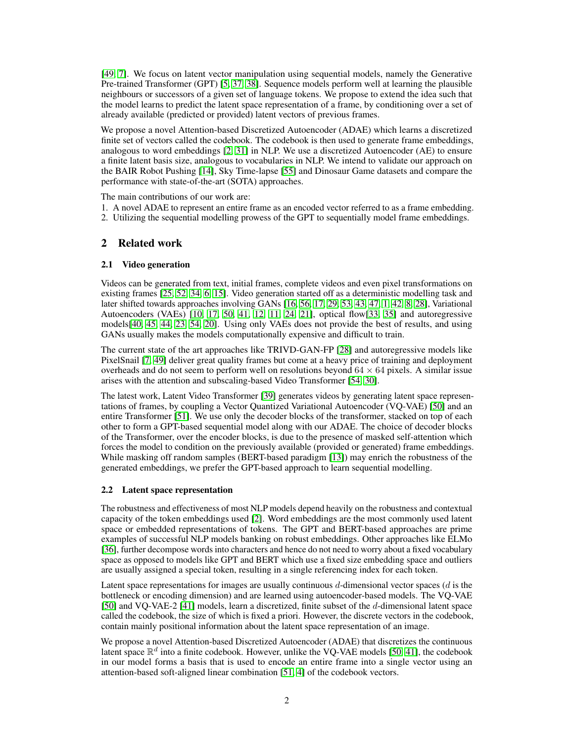[\[49,](#page-7-4) [7\]](#page-5-7). We focus on latent vector manipulation using sequential models, namely the Generative Pre-trained Transformer (GPT) [\[5,](#page-5-5) [37,](#page-6-7) [38\]](#page-6-8). Sequence models perform well at learning the plausible neighbours or successors of a given set of language tokens. We propose to extend the idea such that the model learns to predict the latent space representation of a frame, by conditioning over a set of already available (predicted or provided) latent vectors of previous frames.

We propose a novel Attention-based Discretized Autoencoder (ADAE) which learns a discretized finite set of vectors called the codebook. The codebook is then used to generate frame embeddings, analogous to word embeddings [\[2,](#page-5-8) [31\]](#page-6-9) in NLP. We use a discretized Autoencoder (AE) to ensure a finite latent basis size, analogous to vocabularies in NLP. We intend to validate our approach on the BAIR Robot Pushing [\[14\]](#page-5-9), Sky Time-lapse [\[55\]](#page-7-5) and Dinosaur Game datasets and compare the performance with state-of-the-art (SOTA) approaches.

The main contributions of our work are:

- 1. A novel ADAE to represent an entire frame as an encoded vector referred to as a frame embedding.
- 2. Utilizing the sequential modelling prowess of the GPT to sequentially model frame embeddings.

# 2 Related work

## 2.1 Video generation

Videos can be generated from text, initial frames, complete videos and even pixel transformations on existing frames [\[25,](#page-6-2) [52,](#page-7-2) [34,](#page-6-3) [6,](#page-5-10) [15\]](#page-5-11). Video generation started off as a deterministic modelling task and later shifted towards approaches involving GANs [\[16,](#page-5-12) [56,](#page-7-1) [17,](#page-5-1) [29,](#page-6-10) [53,](#page-7-6) [43,](#page-7-7) [47,](#page-7-8) [1,](#page-5-13) [42,](#page-6-11) [8,](#page-5-2) [28\]](#page-6-1), Variational Autoencoders (VAEs) [\[10,](#page-5-14) [17,](#page-5-1) [50,](#page-7-9) [41,](#page-6-12) [12,](#page-5-15) [11,](#page-5-16) [24,](#page-6-13) [21\]](#page-5-17), optical flow[\[33,](#page-6-4) [35\]](#page-6-5) and autoregressive models[\[40,](#page-6-14) [45,](#page-7-10) [44,](#page-7-11) [23,](#page-6-15) [54,](#page-7-12) [20\]](#page-5-18). Using only VAEs does not provide the best of results, and using GANs usually makes the models computationally expensive and difficult to train.

The current state of the art approaches like TRIVD-GAN-FP [\[28\]](#page-6-1) and autoregressive models like PixelSnail [\[7,](#page-5-7) [49\]](#page-7-4) deliver great quality frames but come at a heavy price of training and deployment overheads and do not seem to perform well on resolutions beyond  $64 \times 64$  pixels. A similar issue arises with the attention and subscaling-based Video Transformer [\[54,](#page-7-12) [30\]](#page-6-16).

The latest work, Latent Video Transformer [\[39\]](#page-6-17) generates videos by generating latent space representations of frames, by coupling a Vector Quantized Variational Autoencoder (VQ-VAE) [\[50\]](#page-7-9) and an entire Transformer [\[51\]](#page-7-3). We use only the decoder blocks of the transformer, stacked on top of each other to form a GPT-based sequential model along with our ADAE. The choice of decoder blocks of the Transformer, over the encoder blocks, is due to the presence of masked self-attention which forces the model to condition on the previously available (provided or generated) frame embeddings. While masking off random samples (BERT-based paradigm [\[13\]](#page-5-6)) may enrich the robustness of the generated embeddings, we prefer the GPT-based approach to learn sequential modelling.

## 2.2 Latent space representation

The robustness and effectiveness of most NLP models depend heavily on the robustness and contextual capacity of the token embeddings used [\[2\]](#page-5-8). Word embeddings are the most commonly used latent space or embedded representations of tokens. The GPT and BERT-based approaches are prime examples of successful NLP models banking on robust embeddings. Other approaches like ELMo [\[36\]](#page-6-18), further decompose words into characters and hence do not need to worry about a fixed vocabulary space as opposed to models like GPT and BERT which use a fixed size embedding space and outliers are usually assigned a special token, resulting in a single referencing index for each token.

Latent space representations for images are usually continuous  $d$ -dimensional vector spaces ( $d$  is the bottleneck or encoding dimension) and are learned using autoencoder-based models. The VQ-VAE [\[50\]](#page-7-9) and VO-VAE-2 [\[41\]](#page-6-12) models, learn a discretized, finite subset of the d-dimensional latent space called the codebook, the size of which is fixed a priori. However, the discrete vectors in the codebook, contain mainly positional information about the latent space representation of an image.

We propose a novel Attention-based Discretized Autoencoder (ADAE) that discretizes the continuous latent space  $\mathbb{R}^d$  into a finite codebook. However, unlike the VQ-VAE models [\[50,](#page-7-9) [41\]](#page-6-12), the codebook in our model forms a basis that is used to encode an entire frame into a single vector using an attention-based soft-aligned linear combination [\[51,](#page-7-3) [4\]](#page-5-19) of the codebook vectors.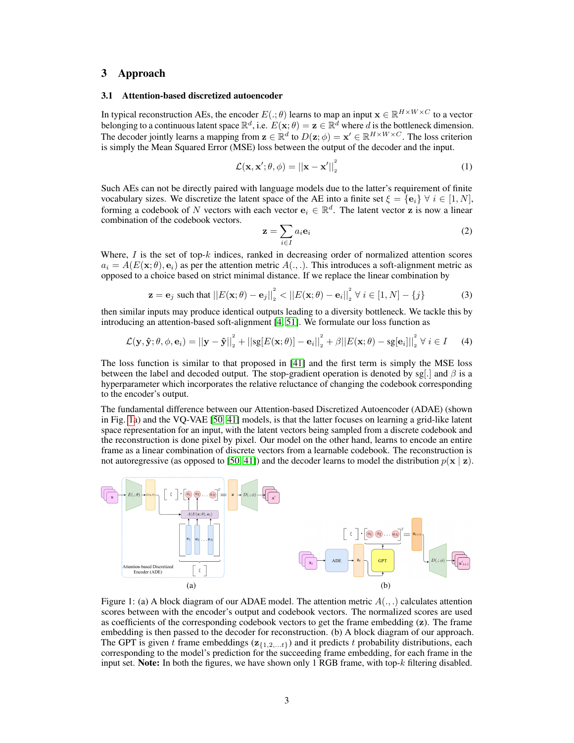# 3 Approach

#### 3.1 Attention-based discretized autoencoder

In typical reconstruction AEs, the encoder  $E(.;\theta)$  learns to map an input  $\mathbf{x} \in \mathbb{R}^{H \times W \times C}$  to a vector belonging to a continuous latent space  $\mathbb{R}^d$ , i.e.  $E(\mathbf{x}; \theta) = \mathbf{z} \in \mathbb{R}^d$  where d is the bottleneck dimension. The decoder jointly learns a mapping from  $\mathbf{z} \in \mathbb{R}^d$  to  $D(\mathbf{z}; \phi) = \mathbf{x}' \in \mathbb{R}^{H \times W \times C}$ . The loss criterion is simply the Mean Squared Error (MSE) loss between the output of the decoder and the input.

$$
\mathcal{L}(\mathbf{x}, \mathbf{x}'; \theta, \phi) = ||\mathbf{x} - \mathbf{x}'||_2^2 \tag{1}
$$

Such AEs can not be directly paired with language models due to the latter's requirement of finite vocabulary sizes. We discretize the latent space of the AE into a finite set  $\xi = {\bf{e}_i} \ \forall \ i \in [1, N]$ , forming a codebook of N vectors with each vector  $e_i \in \mathbb{R}^d$ . The latent vector z is now a linear combination of the codebook vectors.

<span id="page-2-1"></span>
$$
\mathbf{z} = \sum_{i \in I} a_i \mathbf{e}_i \tag{2}
$$

Where,  $I$  is the set of top- $k$  indices, ranked in decreasing order of normalized attention scores  $a_i = A(E(\mathbf{x}; \theta), \mathbf{e}_i)$  as per the attention metric  $A(., .)$ . This introduces a soft-alignment metric as opposed to a choice based on strict minimal distance. If we replace the linear combination by

$$
\mathbf{z} = \mathbf{e}_j \text{ such that } ||E(\mathbf{x}; \theta) - \mathbf{e}_j||_2^2 < ||E(\mathbf{x}; \theta) - \mathbf{e}_i||_2^2 \ \forall \ i \in [1, N] - \{j\}
$$
 (3)

then similar inputs may produce identical outputs leading to a diversity bottleneck. We tackle this by introducing an attention-based soft-alignment [\[4,](#page-5-19) [51\]](#page-7-3). We formulate our loss function as

$$
\mathcal{L}(\mathbf{y}, \hat{\mathbf{y}}; \theta, \phi, \mathbf{e}_i) = ||\mathbf{y} - \hat{\mathbf{y}}||_2^2 + ||\mathbf{sg}[E(\mathbf{x}; \theta)] - \mathbf{e}_i||_2^2 + \beta ||E(\mathbf{x}; \theta) - \mathbf{sg}[\mathbf{e}_i]||_2^2 \ \forall \ i \in I \tag{4}
$$

The loss function is similar to that proposed in [\[41\]](#page-6-12) and the first term is simply the MSE loss between the label and decoded output. The stop-gradient operation is denoted by sg[.] and  $\beta$  is a hyperparameter which incorporates the relative reluctance of changing the codebook corresponding to the encoder's output.

The fundamental difference between our Attention-based Discretized Autoencoder (ADAE) (shown in Fig. [1a](#page-2-0)) and the VQ-VAE [\[50,](#page-7-9) [41\]](#page-6-12) models, is that the latter focuses on learning a grid-like latent space representation for an input, with the latent vectors being sampled from a discrete codebook and the reconstruction is done pixel by pixel. Our model on the other hand, learns to encode an entire frame as a linear combination of discrete vectors from a learnable codebook. The reconstruction is not autoregressive (as opposed to [\[50,](#page-7-9) [41\]](#page-6-12)) and the decoder learns to model the distribution  $p(x | z)$ .

<span id="page-2-0"></span>

Figure 1: (a) A block diagram of our ADAE model. The attention metric  $A(\ldots)$  calculates attention scores between with the encoder's output and codebook vectors. The normalized scores are used as coefficients of the corresponding codebook vectors to get the frame embedding  $(z)$ . The frame embedding is then passed to the decoder for reconstruction. (b) A block diagram of our approach. The GPT is given t frame embeddings ( $z_{\{1,2,...,t\}}$ ) and it predicts t probability distributions, each corresponding to the model's prediction for the succeeding frame embedding, for each frame in the input set. **Note:** In both the figures, we have shown only 1 RGB frame, with top- $k$  filtering disabled.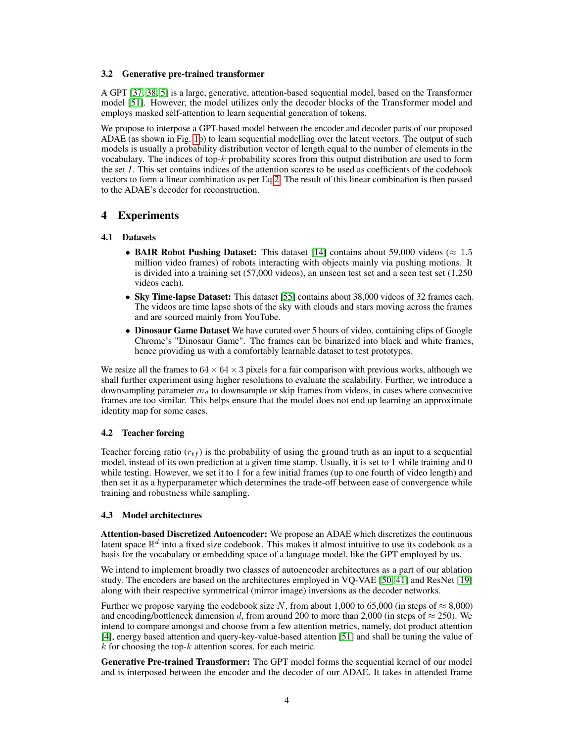#### 3.2 Generative pre-trained transformer

A GPT [\[37,](#page-6-7) [38,](#page-6-8) [5\]](#page-5-5) is a large, generative, attention-based sequential model, based on the Transformer model [\[51\]](#page-7-3). However, the model utilizes only the decoder blocks of the Transformer model and employs masked self-attention to learn sequential generation of tokens.

We propose to interpose a GPT-based model between the encoder and decoder parts of our proposed ADAE (as shown in Fig. [1b](#page-2-0)) to learn sequential modelling over the latent vectors. The output of such models is usually a probability distribution vector of length equal to the number of elements in the vocabulary. The indices of top- $k$  probability scores from this output distribution are used to form the set I. This set contains indices of the attention scores to be used as coefficients of the codebook vectors to form a linear combination as per Eq [2.](#page-2-1) The result of this linear combination is then passed to the ADAE's decoder for reconstruction.

# 4 Experiments

## 4.1 Datasets

- BAIR Robot Pushing Dataset: This dataset [\[14\]](#page-5-9) contains about 59,000 videos ( $\approx 1.5$ ) million video frames) of robots interacting with objects mainly via pushing motions. It is divided into a training set (57,000 videos), an unseen test set and a seen test set (1,250 videos each).
- Sky Time-lapse Dataset: This dataset [\[55\]](#page-7-5) contains about 38,000 videos of 32 frames each. The videos are time lapse shots of the sky with clouds and stars moving across the frames and are sourced mainly from YouTube.
- Dinosaur Game Dataset We have curated over 5 hours of video, containing clips of Google Chrome's "Dinosaur Game". The frames can be binarized into black and white frames, hence providing us with a comfortably learnable dataset to test prototypes.

We resize all the frames to  $64 \times 64 \times 3$  pixels for a fair comparison with previous works, although we shall further experiment using higher resolutions to evaluate the scalability. Further, we introduce a downsampling parameter  $m_d$  to downsample or skip frames from videos, in cases where consecutive frames are too similar. This helps ensure that the model does not end up learning an approximate identity map for some cases.

## 4.2 Teacher forcing

Teacher forcing ratio  $(r_{tf})$  is the probability of using the ground truth as an input to a sequential model, instead of its own prediction at a given time stamp. Usually, it is set to 1 while training and 0 while testing. However, we set it to 1 for a few initial frames (up to one fourth of video length) and then set it as a hyperparameter which determines the trade-off between ease of convergence while training and robustness while sampling.

## 4.3 Model architectures

Attention-based Discretized Autoencoder: We propose an ADAE which discretizes the continuous latent space  $\mathbb{R}^d$  into a fixed size codebook. This makes it almost intuitive to use its codebook as a basis for the vocabulary or embedding space of a language model, like the GPT employed by us.

We intend to implement broadly two classes of autoencoder architectures as a part of our ablation study. The encoders are based on the architectures employed in VQ-VAE [\[50,](#page-7-9) [41\]](#page-6-12) and ResNet [\[19\]](#page-5-20) along with their respective symmetrical (mirror image) inversions as the decoder networks.

Further we propose varying the codebook size N, from about 1,000 to 65,000 (in steps of  $\approx 8,000$ ) and encoding/bottleneck dimension d, from around 200 to more than 2,000 (in steps of  $\approx$  250). We intend to compare amongst and choose from a few attention metrics, namely, dot product attention [\[4\]](#page-5-19), energy based attention and query-key-value-based attention [\[51\]](#page-7-3) and shall be tuning the value of  $k$  for choosing the top- $k$  attention scores, for each metric.

Generative Pre-trained Transformer: The GPT model forms the sequential kernel of our model and is interposed between the encoder and the decoder of our ADAE. It takes in attended frame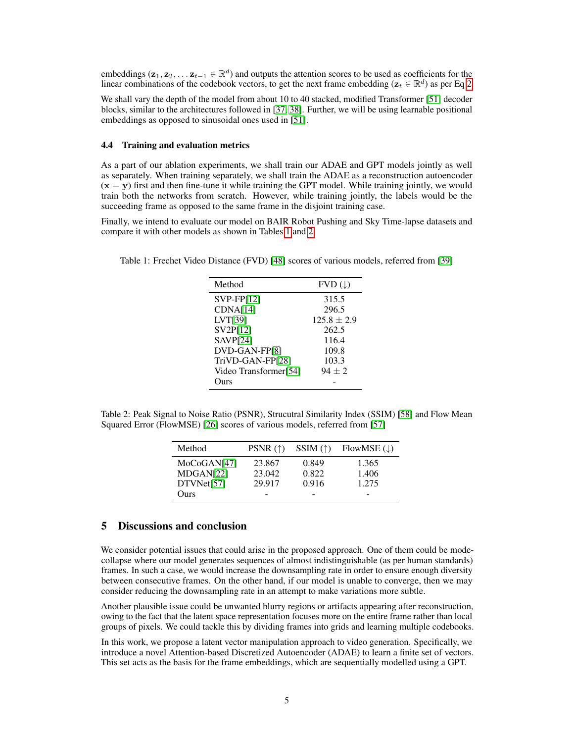embeddings  $(\mathbf{z}_1, \mathbf{z}_2, \dots \mathbf{z}_{t-1} \in \mathbb{R}^d)$  and outputs the attention scores to be used as coefficients for the linear combinations of the codebook vectors, to get the next frame embedding ( $z_t \in \mathbb{R}^d$ ) as per Eq [2.](#page-2-1)

We shall vary the depth of the model from about 10 to 40 stacked, modified Transformer [\[51\]](#page-7-3) decoder blocks, similar to the architectures followed in [\[37,](#page-6-7) [38\]](#page-6-8). Further, we will be using learnable positional embeddings as opposed to sinusoidal ones used in [\[51\]](#page-7-3).

## 4.4 Training and evaluation metrics

As a part of our ablation experiments, we shall train our ADAE and GPT models jointly as well as separately. When training separately, we shall train the ADAE as a reconstruction autoencoder  $(x = y)$  first and then fine-tune it while training the GPT model. While training jointly, we would train both the networks from scratch. However, while training jointly, the labels would be the succeeding frame as opposed to the same frame in the disjoint training case.

Finally, we intend to evaluate our model on BAIR Robot Pushing and Sky Time-lapse datasets and compare it with other models as shown in Tables [1](#page-4-0) and [2.](#page-4-1)

<span id="page-4-0"></span>Table 1: Frechet Video Distance (FVD) [\[48\]](#page-7-13) scores of various models, referred from [\[39\]](#page-6-17)

| Method                | $FVD(\downarrow)$ |
|-----------------------|-------------------|
| $SVP-FP[12]$          | 315.5             |
| CDNA[14]              | 296.5             |
| LVT[39]               | $125.8 \pm 2.9$   |
| SV2P[12]              | 262.5             |
| SAVP[24]              | 116.4             |
| DVD-GAN-FP[8]         | 109.8             |
| TriVD-GAN-FP[28]      | 103.3             |
| Video Transformer[54] | $94 + 2$          |
| Ours                  |                   |

<span id="page-4-1"></span>Table 2: Peak Signal to Noise Ratio (PSNR), Strucutral Similarity Index (SSIM) [\[58\]](#page-7-14) and Flow Mean Squared Error (FlowMSE) [\[26\]](#page-6-19) scores of various models, referred from [\[57\]](#page-7-15)

| Method      | PSNR $(\uparrow)$ | SSIM $(\uparrow)$ | FlowMSE $(\downarrow)$ |
|-------------|-------------------|-------------------|------------------------|
| MoCoGAN[47] | 23.867            | 0.849             | 1.365                  |
| MDGAN[22]   | 23.042            | 0.822             | 1.406                  |
| DTVMet[57]  | 29.917            | 0.916             | 1.275                  |
| Ours        |                   |                   | -                      |

# 5 Discussions and conclusion

We consider potential issues that could arise in the proposed approach. One of them could be modecollapse where our model generates sequences of almost indistinguishable (as per human standards) frames. In such a case, we would increase the downsampling rate in order to ensure enough diversity between consecutive frames. On the other hand, if our model is unable to converge, then we may consider reducing the downsampling rate in an attempt to make variations more subtle.

Another plausible issue could be unwanted blurry regions or artifacts appearing after reconstruction, owing to the fact that the latent space representation focuses more on the entire frame rather than local groups of pixels. We could tackle this by dividing frames into grids and learning multiple codebooks.

In this work, we propose a latent vector manipulation approach to video generation. Specifically, we introduce a novel Attention-based Discretized Autoencoder (ADAE) to learn a finite set of vectors. This set acts as the basis for the frame embeddings, which are sequentially modelled using a GPT.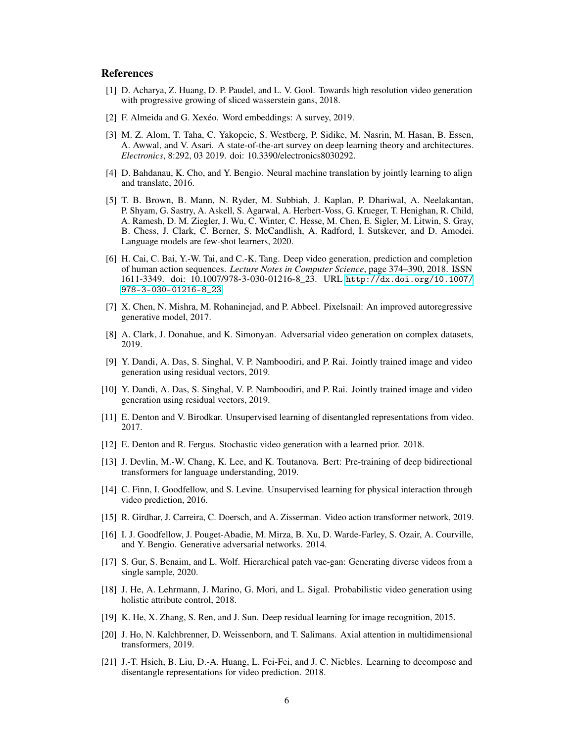## References

- <span id="page-5-13"></span>[1] D. Acharya, Z. Huang, D. P. Paudel, and L. V. Gool. Towards high resolution video generation with progressive growing of sliced wasserstein gans, 2018.
- <span id="page-5-8"></span>[2] F. Almeida and G. Xexéo. Word embeddings: A survey, 2019.
- <span id="page-5-0"></span>[3] M. Z. Alom, T. Taha, C. Yakopcic, S. Westberg, P. Sidike, M. Nasrin, M. Hasan, B. Essen, A. Awwal, and V. Asari. A state-of-the-art survey on deep learning theory and architectures. *Electronics*, 8:292, 03 2019. doi: 10.3390/electronics8030292.
- <span id="page-5-19"></span>[4] D. Bahdanau, K. Cho, and Y. Bengio. Neural machine translation by jointly learning to align and translate, 2016.
- <span id="page-5-5"></span>[5] T. B. Brown, B. Mann, N. Ryder, M. Subbiah, J. Kaplan, P. Dhariwal, A. Neelakantan, P. Shyam, G. Sastry, A. Askell, S. Agarwal, A. Herbert-Voss, G. Krueger, T. Henighan, R. Child, A. Ramesh, D. M. Ziegler, J. Wu, C. Winter, C. Hesse, M. Chen, E. Sigler, M. Litwin, S. Gray, B. Chess, J. Clark, C. Berner, S. McCandlish, A. Radford, I. Sutskever, and D. Amodei. Language models are few-shot learners, 2020.
- <span id="page-5-10"></span>[6] H. Cai, C. Bai, Y.-W. Tai, and C.-K. Tang. Deep video generation, prediction and completion of human action sequences. *Lecture Notes in Computer Science*, page 374–390, 2018. ISSN 1611-3349. doi: 10.1007/978-3-030-01216-8\_23. URL [http://dx.doi.org/10.1007/](http://dx.doi.org/10.1007/978-3-030-01216-8_23) [978-3-030-01216-8\\_23](http://dx.doi.org/10.1007/978-3-030-01216-8_23).
- <span id="page-5-7"></span>[7] X. Chen, N. Mishra, M. Rohaninejad, and P. Abbeel. Pixelsnail: An improved autoregressive generative model, 2017.
- <span id="page-5-2"></span>[8] A. Clark, J. Donahue, and K. Simonyan. Adversarial video generation on complex datasets, 2019.
- <span id="page-5-3"></span>[9] Y. Dandi, A. Das, S. Singhal, V. P. Namboodiri, and P. Rai. Jointly trained image and video generation using residual vectors, 2019.
- <span id="page-5-14"></span>[10] Y. Dandi, A. Das, S. Singhal, V. P. Namboodiri, and P. Rai. Jointly trained image and video generation using residual vectors, 2019.
- <span id="page-5-16"></span>[11] E. Denton and V. Birodkar. Unsupervised learning of disentangled representations from video. 2017.
- <span id="page-5-15"></span>[12] E. Denton and R. Fergus. Stochastic video generation with a learned prior. 2018.
- <span id="page-5-6"></span>[13] J. Devlin, M.-W. Chang, K. Lee, and K. Toutanova. Bert: Pre-training of deep bidirectional transformers for language understanding, 2019.
- <span id="page-5-9"></span>[14] C. Finn, I. Goodfellow, and S. Levine. Unsupervised learning for physical interaction through video prediction, 2016.
- <span id="page-5-11"></span>[15] R. Girdhar, J. Carreira, C. Doersch, and A. Zisserman. Video action transformer network, 2019.
- <span id="page-5-12"></span>[16] I. J. Goodfellow, J. Pouget-Abadie, M. Mirza, B. Xu, D. Warde-Farley, S. Ozair, A. Courville, and Y. Bengio. Generative adversarial networks. 2014.
- <span id="page-5-1"></span>[17] S. Gur, S. Benaim, and L. Wolf. Hierarchical patch vae-gan: Generating diverse videos from a single sample, 2020.
- <span id="page-5-4"></span>[18] J. He, A. Lehrmann, J. Marino, G. Mori, and L. Sigal. Probabilistic video generation using holistic attribute control, 2018.
- <span id="page-5-20"></span>[19] K. He, X. Zhang, S. Ren, and J. Sun. Deep residual learning for image recognition, 2015.
- <span id="page-5-18"></span>[20] J. Ho, N. Kalchbrenner, D. Weissenborn, and T. Salimans. Axial attention in multidimensional transformers, 2019.
- <span id="page-5-17"></span>[21] J.-T. Hsieh, B. Liu, D.-A. Huang, L. Fei-Fei, and J. C. Niebles. Learning to decompose and disentangle representations for video prediction. 2018.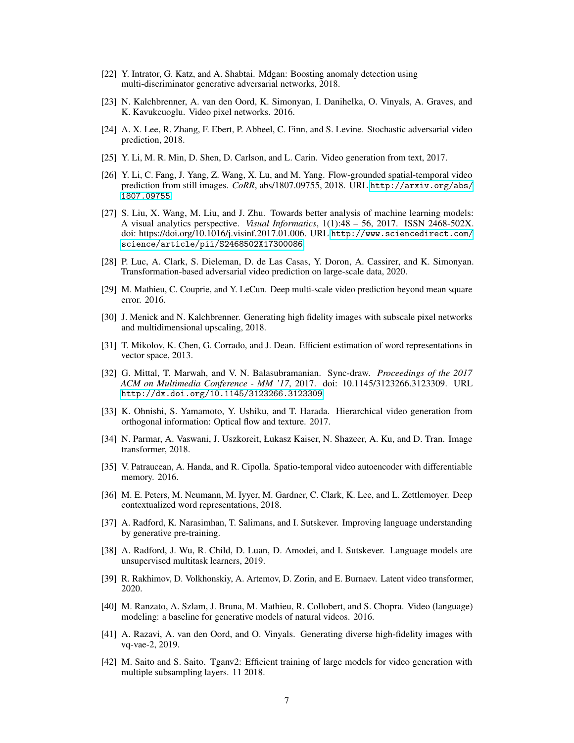- <span id="page-6-20"></span>[22] Y. Intrator, G. Katz, and A. Shabtai. Mdgan: Boosting anomaly detection using multi-discriminator generative adversarial networks, 2018.
- <span id="page-6-15"></span>[23] N. Kalchbrenner, A. van den Oord, K. Simonyan, I. Danihelka, O. Vinyals, A. Graves, and K. Kavukcuoglu. Video pixel networks. 2016.
- <span id="page-6-13"></span>[24] A. X. Lee, R. Zhang, F. Ebert, P. Abbeel, C. Finn, and S. Levine. Stochastic adversarial video prediction, 2018.
- <span id="page-6-2"></span>[25] Y. Li, M. R. Min, D. Shen, D. Carlson, and L. Carin. Video generation from text, 2017.
- <span id="page-6-19"></span>[26] Y. Li, C. Fang, J. Yang, Z. Wang, X. Lu, and M. Yang. Flow-grounded spatial-temporal video prediction from still images. *CoRR*, abs/1807.09755, 2018. URL [http://arxiv.org/abs/](http://arxiv.org/abs/1807.09755) [1807.09755](http://arxiv.org/abs/1807.09755).
- <span id="page-6-0"></span>[27] S. Liu, X. Wang, M. Liu, and J. Zhu. Towards better analysis of machine learning models: A visual analytics perspective. *Visual Informatics*, 1(1):48 – 56, 2017. ISSN 2468-502X. doi: https://doi.org/10.1016/j.visinf.2017.01.006. URL [http://www.sciencedirect.com/](http://www.sciencedirect.com/science/article/pii/S2468502X17300086) [science/article/pii/S2468502X17300086](http://www.sciencedirect.com/science/article/pii/S2468502X17300086).
- <span id="page-6-1"></span>[28] P. Luc, A. Clark, S. Dieleman, D. de Las Casas, Y. Doron, A. Cassirer, and K. Simonyan. Transformation-based adversarial video prediction on large-scale data, 2020.
- <span id="page-6-10"></span>[29] M. Mathieu, C. Couprie, and Y. LeCun. Deep multi-scale video prediction beyond mean square error. 2016.
- <span id="page-6-16"></span>[30] J. Menick and N. Kalchbrenner. Generating high fidelity images with subscale pixel networks and multidimensional upscaling, 2018.
- <span id="page-6-9"></span>[31] T. Mikolov, K. Chen, G. Corrado, and J. Dean. Efficient estimation of word representations in vector space, 2013.
- <span id="page-6-6"></span>[32] G. Mittal, T. Marwah, and V. N. Balasubramanian. Sync-draw. *Proceedings of the 2017 ACM on Multimedia Conference - MM '17*, 2017. doi: 10.1145/3123266.3123309. URL <http://dx.doi.org/10.1145/3123266.3123309>.
- <span id="page-6-4"></span>[33] K. Ohnishi, S. Yamamoto, Y. Ushiku, and T. Harada. Hierarchical video generation from orthogonal information: Optical flow and texture. 2017.
- <span id="page-6-3"></span>[34] N. Parmar, A. Vaswani, J. Uszkoreit, Łukasz Kaiser, N. Shazeer, A. Ku, and D. Tran. Image transformer, 2018.
- <span id="page-6-5"></span>[35] V. Patraucean, A. Handa, and R. Cipolla. Spatio-temporal video autoencoder with differentiable memory. 2016.
- <span id="page-6-18"></span>[36] M. E. Peters, M. Neumann, M. Iyyer, M. Gardner, C. Clark, K. Lee, and L. Zettlemoyer. Deep contextualized word representations, 2018.
- <span id="page-6-7"></span>[37] A. Radford, K. Narasimhan, T. Salimans, and I. Sutskever. Improving language understanding by generative pre-training.
- <span id="page-6-8"></span>[38] A. Radford, J. Wu, R. Child, D. Luan, D. Amodei, and I. Sutskever. Language models are unsupervised multitask learners, 2019.
- <span id="page-6-17"></span>[39] R. Rakhimov, D. Volkhonskiy, A. Artemov, D. Zorin, and E. Burnaev. Latent video transformer, 2020.
- <span id="page-6-14"></span>[40] M. Ranzato, A. Szlam, J. Bruna, M. Mathieu, R. Collobert, and S. Chopra. Video (language) modeling: a baseline for generative models of natural videos. 2016.
- <span id="page-6-12"></span>[41] A. Razavi, A. van den Oord, and O. Vinyals. Generating diverse high-fidelity images with vq-vae-2, 2019.
- <span id="page-6-11"></span>[42] M. Saito and S. Saito. Tganv2: Efficient training of large models for video generation with multiple subsampling layers. 11 2018.